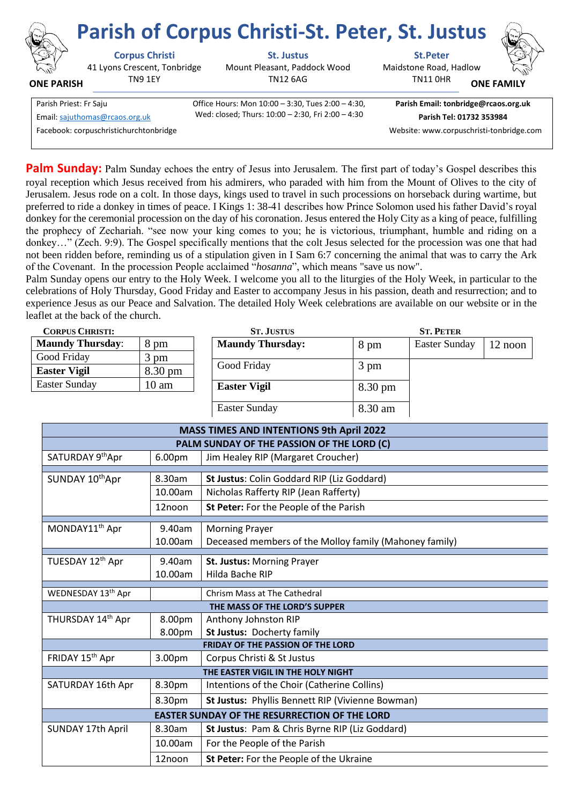|                                                          | <b>Parish of Corpus Christi-St. Peter, St. Justus</b>            |                                                                                                        |                                                                  |                   |  |
|----------------------------------------------------------|------------------------------------------------------------------|--------------------------------------------------------------------------------------------------------|------------------------------------------------------------------|-------------------|--|
| T.S<br><b>ONE PARISH</b>                                 | <b>Corpus Christi</b><br>41 Lyons Crescent, Tonbridge<br>TN9 1EY | <b>St. Justus</b><br>Mount Pleasant, Paddock Wood<br><b>TN12 6AG</b>                                   | <b>St.Peter</b><br>Maidstone Road, Hadlow<br><b>TN11 OHR</b>     | <b>ONE FAMILY</b> |  |
| Parish Priest: Fr Saju<br>Email: sajuthomas@rcaos.org.uk |                                                                  | Office Hours: Mon 10:00 - 3:30, Tues 2:00 - 4:30,<br>Wed: closed; Thurs: 10:00 - 2:30, Fri 2:00 - 4:30 | Parish Email: tonbridge@rcaos.org.uk<br>Parish Tel: 01732 353984 |                   |  |
|                                                          | Facebook: corpuschristichurchtonbridge                           |                                                                                                        | Website: www.corpuschristi-tonbridge.com                         |                   |  |

**Palm Sunday:** Palm Sunday echoes the entry of Jesus into Jerusalem. The first part of today's Gospel describes this royal reception which Jesus received from his admirers, who paraded with him from the Mount of Olives to the city of Jerusalem. Jesus rode on a colt. In those days, kings used to travel in such processions on horseback during wartime, but preferred to ride a donkey in times of peace. I Kings 1: 38-41 describes how Prince Solomon used his father David's royal donkey for the ceremonial procession on the day of his coronation. Jesus entered the Holy City as a king of peace, fulfilling the prophecy of Zechariah. "see now your king comes to you; he is victorious, triumphant, humble and riding on a donkey…" (Zech. 9:9). The Gospel specifically mentions that the colt Jesus selected for the procession was one that had not been ridden before, reminding us of a stipulation given in I Sam 6:7 concerning the animal that was to carry the Ark of the Covenant. In the procession People acclaimed "*hosanna*", which means "save us now".

Palm Sunday opens our entry to the Holy Week. I welcome you all to the liturgies of the Holy Week, in particular to the celebrations of Holy Thursday, Good Friday and Easter to accompany Jesus in his passion, death and resurrection; and to experience Jesus as our Peace and Salvation. The detailed Holy Week celebrations are available on our website or in the leaflet at the back of the church.

| <b>CORPUS CHRISTI:</b>  |                   | <b>ST. PETER</b><br><b>ST. JUSTUS</b> |                   |               |         |
|-------------------------|-------------------|---------------------------------------|-------------------|---------------|---------|
| <b>Maundy Thursday:</b> | 8 pm              | <b>Maundy Thursday:</b>               | 8 pm              | Easter Sunday | 12 noon |
| Good Friday             | $3 \text{ pm}$    |                                       |                   |               |         |
| <b>Easter Vigil</b>     | $8.30 \text{ pm}$ | Good Friday                           | 3 pm              |               |         |
| Easter Sunday           | $10 \text{ am}$   | <b>Easter Vigil</b>                   | $8.30 \text{ pm}$ |               |         |
|                         |                   | <b>Easter Sunday</b>                  | 8.30 am           |               |         |

 $\overline{\phantom{a}}$ 

| <b>MASS TIMES AND INTENTIONS 9th April 2022</b>      |         |                                                        |  |  |  |
|------------------------------------------------------|---------|--------------------------------------------------------|--|--|--|
| PALM SUNDAY OF THE PASSION OF THE LORD (C)           |         |                                                        |  |  |  |
| SATURDAY 9th Apr                                     | 6.00pm  | Jim Healey RIP (Margaret Croucher)                     |  |  |  |
|                                                      |         |                                                        |  |  |  |
| SUNDAY 10thApr                                       | 8.30am  | St Justus: Colin Goddard RIP (Liz Goddard)             |  |  |  |
|                                                      | 10.00am | Nicholas Rafferty RIP (Jean Rafferty)                  |  |  |  |
|                                                      | 12noon  | St Peter: For the People of the Parish                 |  |  |  |
| MONDAY11 <sup>th</sup> Apr                           | 9.40am  | <b>Morning Prayer</b>                                  |  |  |  |
|                                                      | 10.00am | Deceased members of the Molloy family (Mahoney family) |  |  |  |
|                                                      |         |                                                        |  |  |  |
| TUESDAY 12th Apr                                     | 9.40am  | St. Justus: Morning Prayer                             |  |  |  |
|                                                      | 10.00am | Hilda Bache RIP                                        |  |  |  |
|                                                      |         |                                                        |  |  |  |
| WEDNESDAY 13th Apr                                   |         | Chrism Mass at The Cathedral                           |  |  |  |
| THE MASS OF THE LORD'S SUPPER                        |         |                                                        |  |  |  |
| THURSDAY 14th Apr                                    | 8.00pm  | Anthony Johnston RIP                                   |  |  |  |
|                                                      | 8.00pm  | St Justus: Docherty family                             |  |  |  |
| <b>FRIDAY OF THE PASSION OF THE LORD</b>             |         |                                                        |  |  |  |
| FRIDAY 15 <sup>th</sup> Apr                          | 3.00pm  | Corpus Christi & St Justus                             |  |  |  |
| THE EASTER VIGIL IN THE HOLY NIGHT                   |         |                                                        |  |  |  |
| SATURDAY 16th Apr                                    | 8.30pm  | Intentions of the Choir (Catherine Collins)            |  |  |  |
|                                                      | 8.30pm  | St Justus: Phyllis Bennett RIP (Vivienne Bowman)       |  |  |  |
| <b>EASTER SUNDAY OF THE RESURRECTION OF THE LORD</b> |         |                                                        |  |  |  |
| <b>SUNDAY 17th April</b>                             | 8.30am  | St Justus: Pam & Chris Byrne RIP (Liz Goddard)         |  |  |  |
|                                                      | 10.00am | For the People of the Parish                           |  |  |  |
|                                                      | 12noon  | St Peter: For the People of the Ukraine                |  |  |  |
|                                                      |         |                                                        |  |  |  |